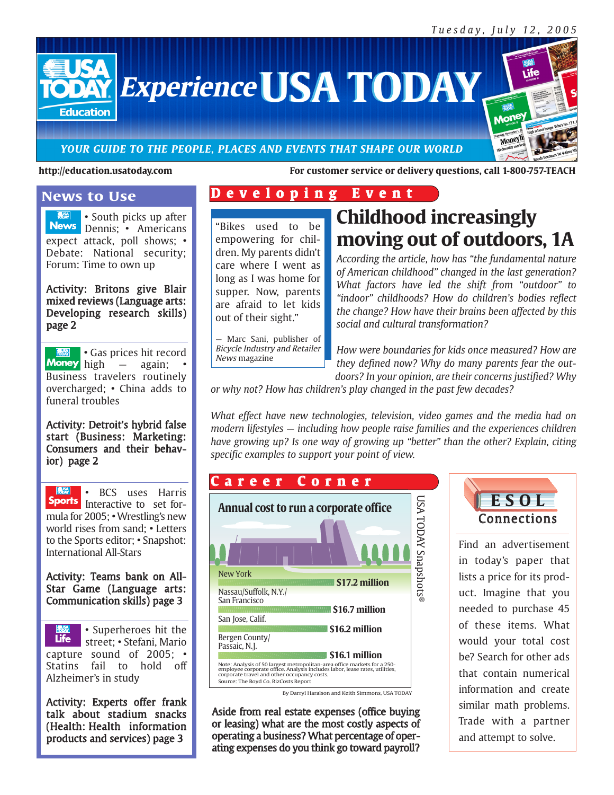Mone

Moneyl

**Experience USA TODAY** 

#### *YOUR GUIDE TO THE PEOPLE, PLACES AND EVENTS THAT SHAPE OUR WORLD*

#### **http://education.usatoday.com For customer service or delivery questions, call 1-800-757-TEACH**

#### **News to Use**

**Education** 

• South picks up after News Dennis; • Americans expect attack, poll shows; • Debate: National security; Forum: Time to own up

#### Activity: Britons give Blair mixed reviews (Language arts: Developing research skills) page 2

**EXAND** • Gas prices hit record<br>**Money** high – again; • **Room** high — again; • Business travelers routinely overcharged; • China adds to funeral troubles

Activity: Detroit's hybrid false start (Business: Marketing: Consumers and their behavior) page 2

**USA** • BCS uses Harris Sports Interactive to set formula for 2005; • Wrestling's new world rises from sand; • Letters to the Sports editor; • Snapshot: International All-Stars

Activity: Teams bank on All-Star Game (Language arts: Communication skills) page 3

• Superheroes hit the **Life** street; • Stefani, Mario capture sound of 2005; • Statins fail to hold off Alzheimer's in study

Activity: Experts offer frank talk about stadium snacks (Health: Health information products and services) page 3

## **D e v e l o p i n g E v e n t**

"Bikes used to be empowering for children. My parents didn't care where I went as long as I was home for supper. Now, parents are afraid to let kids out of their sight."

Marc Sani, publisher of Bicycle Industry and Retailer News magazine

**Childhood increasingly moving out of outdoors, 1A**

*According the article, how has "the fundamental nature of American childhood" changed in the last generation? What factors have led the shift from "outdoor" to "indoor" childhoods? How do children's bodies reflect the change? How have their brains been affected by this social and cultural transformation?*

*How were boundaries for kids once measured? How are they defined now? Why do many parents fear the outdoors? In your opinion, are their concerns justified? Why*

*or why not? How has children's play changed in the past few decades?*

*What effect have new technologies, television, video games and the media had on modern lifestyles — including how people raise families and the experiences children have growing up? Is one way of growing up "better" than the other? Explain, citing specific examples to support your point of view.*

#### **\$17.2 million** New York **Annual cost to run a corporate office** Note: Analysis of 50 largest metropolitan-area office markets for a 250- employee corporate office. Analysis includes labor, lease rates, utilities, corporate travel and other occupancy costs. Source: The Boyd Co. BizCosts Report **\$16.7 million \$16.2 million \$16.1 million** Nassau/Suffolk, N.Y./ San Francisco San Jose, Calif. Bergen County/ Passaic, N.J. By Darryl Haralson and Keith Simmons, USA TODAY USA TODAY Snapshots ® **C a r e e r C o r n e r**

Aside from real estate expenses (office buying or leasing) what are the most costly aspects of operating a business? What percentage of operating expenses do you think go toward payroll?



Find an advertisement in today's paper that lists a price for its product. Imagine that you needed to purchase 45 of these items. What would your total cost be? Search for other ads that contain numerical information and create similar math problems. Trade with a partner and attempt to solve.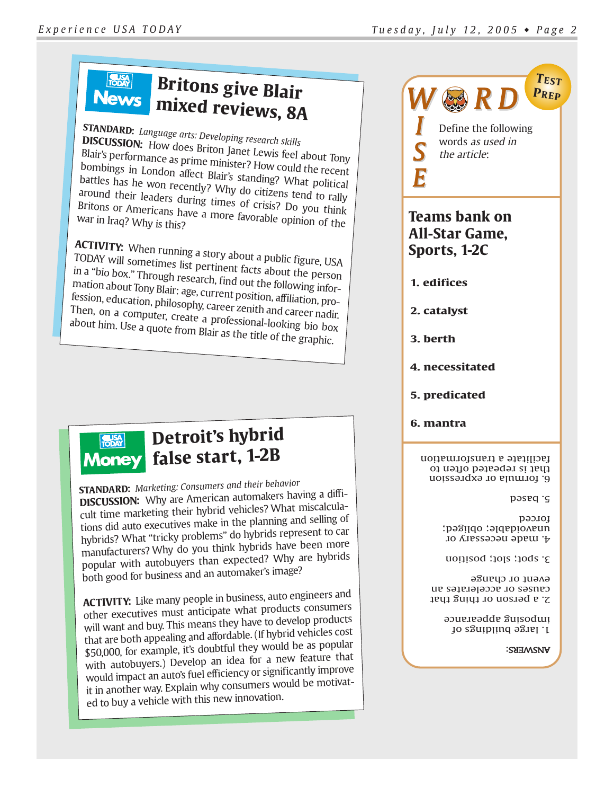#### **FUSA Britons give Blair News mixed reviews, 8A**

#### **STANDARD:** *Language arts: Developing research skills* **DISCUSSION:** How does Briton Blair's performance as prime minister? How could the recent Janet Lewis feel about Tony bombings in London affect Blair's standing? What political battles has he won recently? Why do citizens tend to rally around their leaders during times of crisis? Do you think<br>Britons or Americans have a more favorable opinion of the<br>war in Iraq? Why is this? Britons or Americans have a more favorable opinion of the war in Iraq? Why is this?

**ACTIVITY:** When running a story about a public figure, USA TODAY will sometimes list pertinent facts about the person in a "bio box." Through research, find out the following information about Tony Blair: age, current position, affiliation, profession, education, philosophy, career zenith and career nadir.<br>Then, on a computer, create a necfall and career nadir. Then, on a computer, create a professional-looking bio box about him. Use a quote from Blair as the title of the graphic.



# **Detroit's hybrid Money** false start, 1-2B

**STANDARD:** *Marketing: Consumers and their behavior* **DISCUSSION:** Why are American automakers having a difficult time marketing their hybrid vehicles? What miscalculations did auto executives make in the planning and selling of hybrids? What "tricky problems" do hybrids represent to car manufacturers? Why do you think hybrids have been more popular with autobuyers than expected? Why are hybrids both good for business and an automaker's image?

**ACTIVITY:** Like many people in business, auto engineers and other executives must anticipate what products consumers will want and buy. This means they have to develop products that are both appealing and affordable. (If hybrid vehicles cost \$50,000, for example, it's doubtful they would be as popular with autobuyers.) Develop an idea for a new feature that would impact an auto's fuel efficiency or significantly improve it in another way. Explain why consumers would be motivated to buy a vehicle with this new innovation.

Define the following words as used in the article: *W R D* **PREP**

**TEST**

## **Teams bank on All-Star Game, Sports, 1-2C**

**1. edifices**

*I*

*S*

*E*

- **2. catalyst**
- **3. berth**
- **4. necessitated**
- **5. predicated**
- **6. mantra**

6. formula or expression that is repeated often to acilitate a transformation f

5. based

4. made necessary or unavoidable; obliged; forced

3. spot; slot; position

2. a person or thing that causes or accelerates an event or change

1. large buildings of imposing appearance

#### WARKS: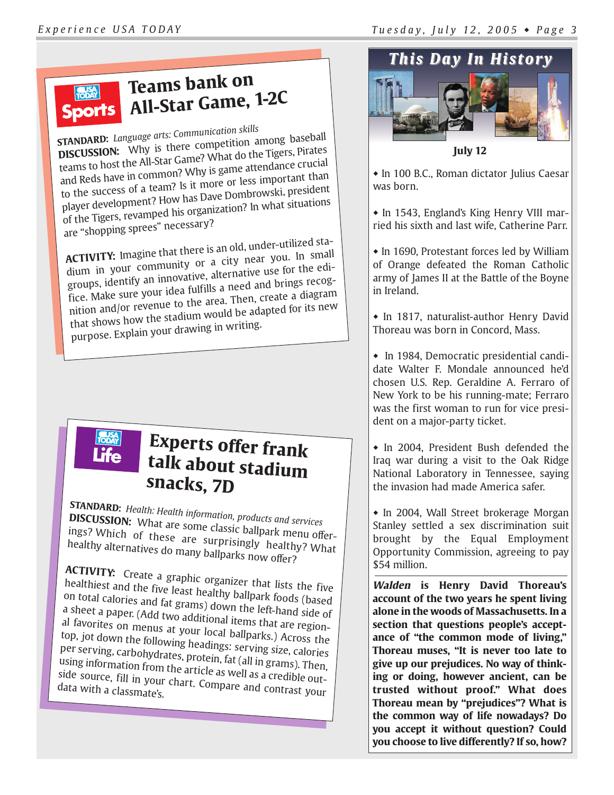## **Teams bank on RUSA All-Star Game, 1-2C**

**STANDARD:** *Language arts: Communication skills* **DISCUSSION:** Why is there competition among baseball teams to host the All-Star Game? What do the Tigers, Pirates and Reds have in common? Why is game attendance crucial to the success of a team? Is it more or less important than player development? How has Dave Dombrowski, president of the Tigers, revamped his organization? In what situations are "shopping sprees" necessary?

**ACTIVITY:** Imagine that there is an old, under-utilized stadium in your community or a city near you. In small groups, identify an innovative, alternative use for the edifice. Make sure your idea fulfills a need and brings recognition and/or revenue to the area. Then, create a diagram that shows how the stadium would be adapted for its new purpose. Explain your drawing in writing.



# **Experts offer frank talk about stadium snacks, 7D**

**STANDARD:** *Health: Health information, products and services* **DISCUSSION:** What are some classic ballpark menu offerings? Which of these are surprisingly healthy? What healthy alternatives do many ballparks now offer?

**ACTIVITY:** Create a graphic organizer that lists the five healthiest and the five least healthy ballpark foods (based<br>on total calories and fat grams) down that foods (based on total calories and fat grams) down the left-hand side of a sheet a paper. (Add two additional items that are regional favorites on menus at your local ballparks.) Across the top, jot down the following headings: serving size, calories per serving, carbohydrates, protein, fat (all in grams). Then, using information from the article as well as a credible outside source, fill in your chart. Compare and contrast your data with a classmate's.



**July 12**

• In 100 B.C., Roman dictator Julius Caesar was born.

• In 1543, England's King Henry VIII married his sixth and last wife, Catherine Parr.

 $\bullet$  In 1690, Protestant forces led by William of Orange defeated the Roman Catholic army of James II at the Battle of the Boyne in Ireland.

 $\bullet$  In 1817, naturalist-author Henry David Thoreau was born in Concord, Mass.

• In 1984, Democratic presidential candidate Walter F. Mondale announced he'd chosen U.S. Rep. Geraldine A. Ferraro of New York to be his running-mate; Ferraro was the first woman to run for vice president on a major-party ticket.

• In 2004, President Bush defended the Iraq war during a visit to the Oak Ridge National Laboratory in Tennessee, saying the invasion had made America safer.

• In 2004, Wall Street brokerage Morgan Stanley settled a sex discrimination suit brought by the Equal Employment Opportunity Commission, agreeing to pay \$54 million.

**Walden is Henry David Thoreau's account of the two years he spent living alone in the woods of Massachusetts. In a section that questions people's acceptance of "the common mode of living," Thoreau muses, "It is never too late to give up our prejudices. No way of thinking or doing, however ancient, can be trusted without proof." What does Thoreau mean by "prejudices"? What is the common way of life nowadays? Do you accept it without question? Could you choose to live differently? If so, how?**